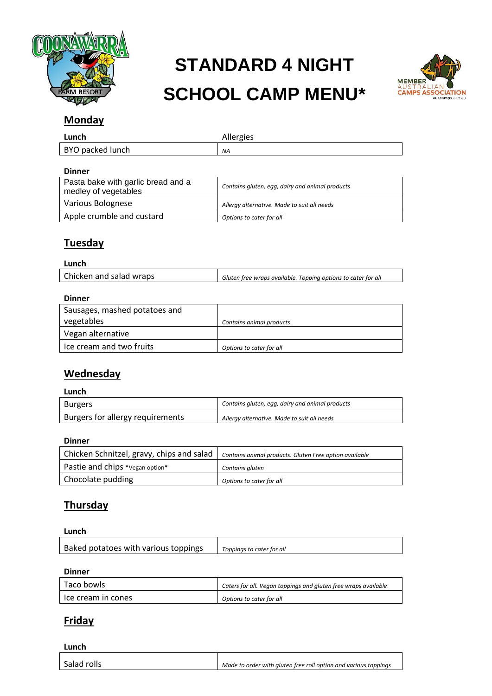

# **STANDARD 4 NIGHT SCHOOL CAMP MENU\***



## **Monday**

| Lunch            | Allergies |
|------------------|-----------|
| BYO packed lunch | NA        |

#### **Dinner**

| Pasta bake with garlic bread and a<br>medley of vegetables | Contains gluten, egg, dairy and animal products |
|------------------------------------------------------------|-------------------------------------------------|
| Various Bolognese                                          | Allergy alternative. Made to suit all needs     |
| Apple crumble and custard                                  | Options to cater for all                        |

# **Tuesday**

#### **Lunch**

| Chicken and salad wraps | Gluten free wraps available. Topping options to cater for all |
|-------------------------|---------------------------------------------------------------|
|                         |                                                               |

#### **Dinner**

| -------                       |                          |
|-------------------------------|--------------------------|
| Sausages, mashed potatoes and |                          |
| vegetables                    | Contains animal products |
| Vegan alternative             |                          |
| Ice cream and two fruits      | Options to cater for all |

### **Wednesday**

#### **Lunch**

| <b>Burgers</b>                   | Contains gluten, egg, dairy and animal products |
|----------------------------------|-------------------------------------------------|
| Burgers for allergy requirements | Allergy alternative. Made to suit all needs     |

#### **Dinner**

| Chicken Schnitzel, gravy, chips and salad | Contains animal products. Gluten Free option available |
|-------------------------------------------|--------------------------------------------------------|
| Pastie and chips *Vegan option*           | Contains gluten                                        |
| Chocolate pudding                         | Options to cater for all                               |

# **Thursday**

#### **Lunch**

| Baked potatoes with various toppings | Toppings to cater for all |
|--------------------------------------|---------------------------|
|                                      |                           |

#### **Dinner**

| Taco bowls         | Caters for all. Vegan toppings and gluten free wraps available |
|--------------------|----------------------------------------------------------------|
| lce cream in cones | Options to cater for all                                       |

## **Friday**

**Lunch**

| Salad rolls | Made to order with gluten free roll option and various toppings |
|-------------|-----------------------------------------------------------------|